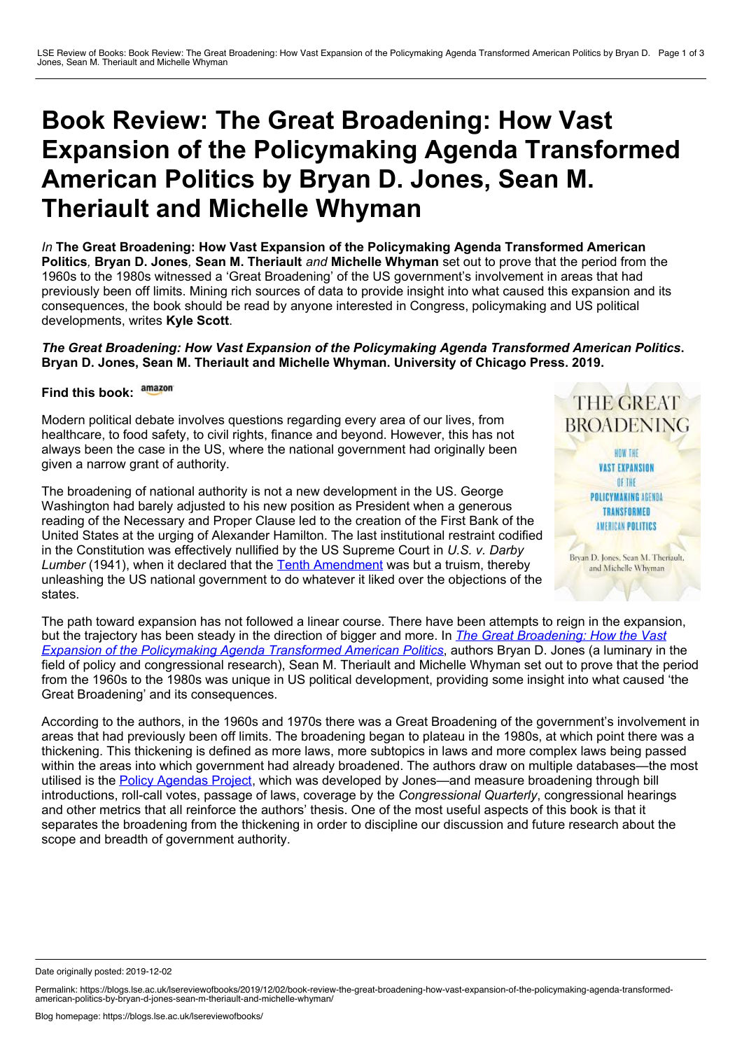## **Book Review: The Great Broadening: How Vast Expansion of the Policymaking Agenda Transformed American Politics by Bryan D. Jones, Sean M. Theriault and Michelle Whyman**

*In* **The Great Broadening: How Vast Expansion of the Policymaking Agenda Transformed American Politics***,* **Bryan D. Jones***,* **Sean M. Theriault** *and* **Michelle Whyman** set out to prove that the period from the 1960s to the 1980s witnessed a 'Great Broadening' of the US government's involvement in areas that had previously been off limits. Mining rich sources of data to provide insight into what caused this expansion and its consequences, the book should be read by anyone interested in Congress, policymaking and US political developments, writes **Kyle Scott**.

## *The Great Broadening: How Vast Expansion of the Policymaking Agenda Transformed American Politics***. Bryan D. Jones, Sean M. Theriault and Michelle Whyman. University of Chicago Press. 2019.**

## **Find this book:**

Modern political debate involves questions regarding every area of our lives, from healthcare, to food safety, to civil rights, finance and beyond. However, this has not always been the case in the US, where the national government had originally been given a narrow grant of authority.

The broadening of national authority is not a new development in the US. George Washington had barely adjusted to his new position as President when a generous reading of the Necessary and Proper Clause led to the creation of the First Bank of the United States at the urging of Alexander Hamilton. The last institutional restraint codified in the Constitution was effectively nullified by the US Supreme Court in *U.S. v. Darby* Lumber (1941), when it declared that the Tenth [Amendment](https://www.law.cornell.edu/constitution/tenth_amendment) was but a truism, thereby unleashing the US national government to do whatever it liked over the objections of the states.



The path toward expansion has not followed a linear course. There have been attempts to reign in the expansion, but the trajectory has been steady in the direction of bigger and more. In *The Great Broadening: How the Vast Expansion of the [Policymaking](https://www.press.uchicago.edu/ucp/books/book/chicago/G/bo38181724.html) Agenda Transformed American Politics*, authors Bryan D. Jones (a luminary in the field of policy and congressional research), Sean M. Theriault and Michelle Whyman set out to prove that the period from the 1960s to the 1980s was unique in US political development, providing some insight into what caused 'the Great Broadening' and its consequences.

According to the authors, in the 1960s and 1970s there was a Great Broadening of the government's involvement in areas that had previously been off limits. The broadening began to plateau in the 1980s, at which point there was a thickening. This thickening is defined as more laws, more subtopics in laws and more complex laws being passed within the areas into which government had already broadened. The authors draw on multiple databases—the most utilised is the Policy [Agendas](https://dss.princeton.edu/catalog/resource1281) Project, which was developed by Jones—and measure broadening through bill introductions, roll-call votes, passage of laws, coverage by the *Congressional Quarterly*, congressional hearings and other metrics that all reinforce the authors' thesis. One of the most useful aspects of this book is that it separates the broadening from the thickening in order to discipline our discussion and future research about the scope and breadth of government authority.

Date originally posted: 2019-12-02

Permalink: https://blogs.lse.ac.uk/lsereviewofbooks/2019/12/02/book-review-the-great-broadening-how-vast-expansion-of-the-policymaking-agenda-transformed-american-politics-by-bryan-d-jones-sean-m-theriault-and-michelle-why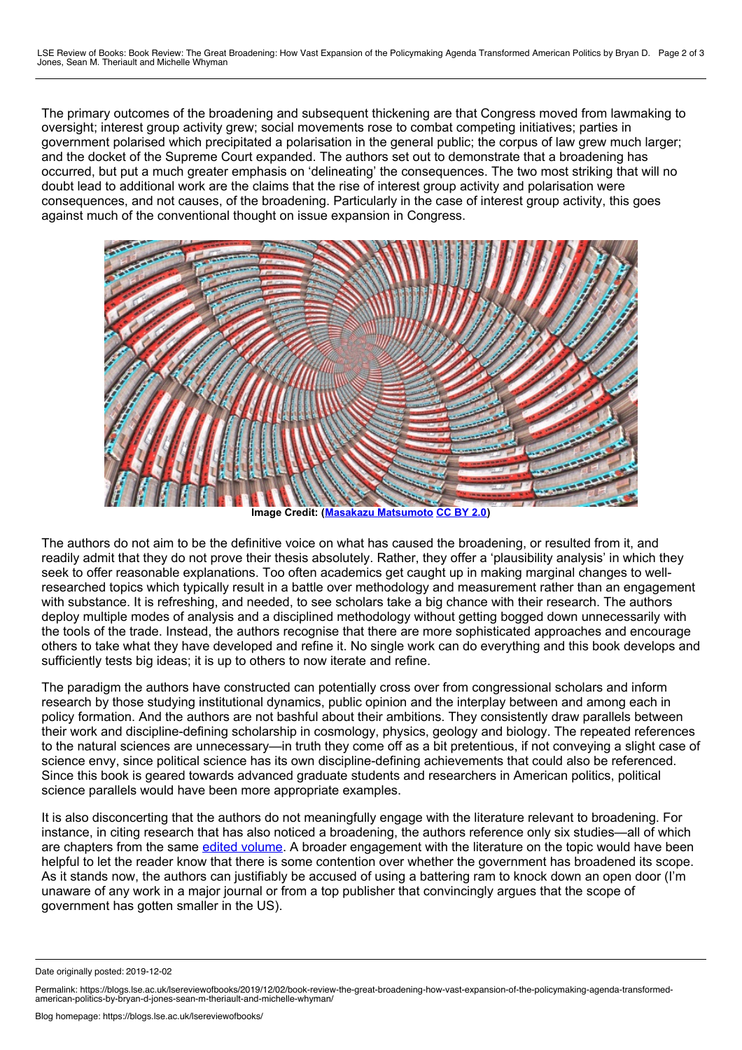The primary outcomes of the broadening and subsequent thickening are that Congress moved from lawmaking to oversight; interest group activity grew; social movements rose to combat competing initiatives; parties in government polarised which precipitated a polarisation in the general public; the corpus of law grew much larger; and the docket of the Supreme Court expanded. The authors set out to demonstrate that a broadening has occurred, but put a much greater emphasis on 'delineating' the consequences. The two most striking that will no doubt lead to additional work are the claims that the rise of interest group activity and polarisation were consequences, and not causes, of the broadening. Particularly in the case of interest group activity, this goes against much of the conventional thought on issue expansion in Congress.



**Image Credit: (Masakazu [Matsumoto](https://flickr.com/photos/vitroids/44771212914/) [CC](https://creativecommons.org/licenses/by/2.0/) BY 2.0)**

The authors do not aim to be the definitive voice on what has caused the broadening, or resulted from it, and readily admit that they do not prove their thesis absolutely. Rather, they offer a 'plausibility analysis' in which they seek to offer reasonable explanations. Too often academics get caught up in making marginal changes to wellresearched topics which typically result in a battle over methodology and measurement rather than an engagement with substance. It is refreshing, and needed, to see scholars take a big chance with their research. The authors deploy multiple modes of analysis and a disciplined methodology without getting bogged down unnecessarily with the tools of the trade. Instead, the authors recognise that there are more sophisticated approaches and encourage others to take what they have developed and refine it. No single work can do everything and this book develops and sufficiently tests big ideas; it is up to others to now iterate and refine.

The paradigm the authors have constructed can potentially cross over from congressional scholars and inform research by those studying institutional dynamics, public opinion and the interplay between and among each in policy formation. And the authors are not bashful about their ambitions. They consistently draw parallels between their work and discipline-defining scholarship in cosmology, physics, geology and biology. The repeated references to the natural sciences are unnecessary—in truth they come off as a bit pretentious, if not conveying a slight case of science envy, since political science has its own discipline-defining achievements that could also be referenced. Since this book is geared towards advanced graduate students and researchers in American politics, political science parallels would have been more appropriate examples.

It is also disconcerting that the authors do not meaningfully engage with the literature relevant to broadening. For instance, in citing research that has also noticed a broadening, the authors reference only six studies—all of which are chapters from the same edited [volume.](https://press.princeton.edu/books/paperback/9780691122588/the-transformation-of-american-politics) A broader engagement with the literature on the topic would have been helpful to let the reader know that there is some contention over whether the government has broadened its scope. As it stands now, the authors can justifiably be accused of using a battering ram to knock down an open door (I'm unaware of any work in a major journal or from atop publisher that convincingly argues that the scope of government has gotten smaller in the US).

Date originally posted: 2019-12-02

Permalink: https://blogs.lse.ac.uk/lsereviewofbooks/2019/12/02/book-review-the-great-broadening-how-vast-expansion-of-the-policymaking-agenda-transformed-<br>american-politics-by-bryan-d-jones-sean-m-theriault-and-michelle-wh